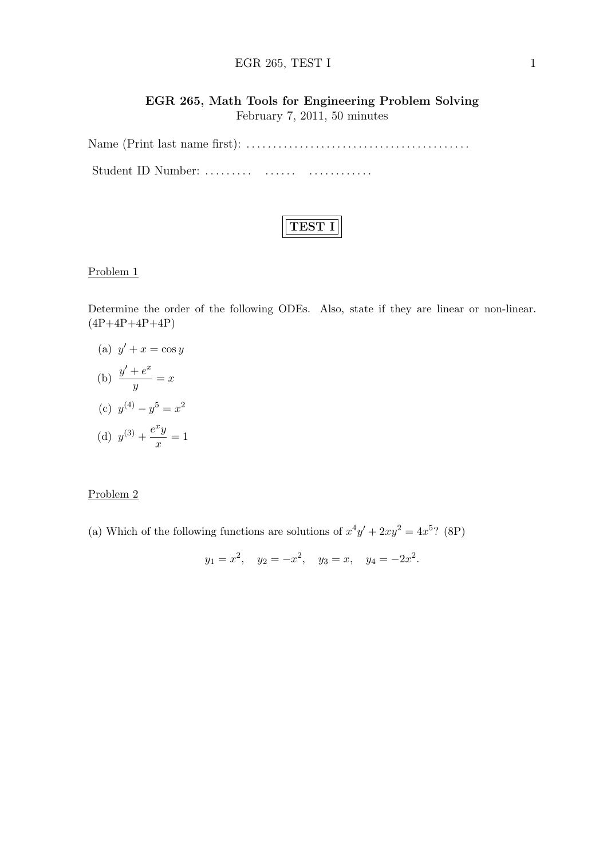#### EGR 265, TEST I 1

## EGR 265, Math Tools for Engineering Problem Solving

February 7, 2011, 50 minutes

Name (Print last name first): . . . . . . . . . . . . . . . . . . . . . . . . . . . . . . . . . . . . . . . . . . Student ID Number: ......... ....... ...............



#### Problem 1

Determine the order of the following ODEs. Also, state if they are linear or non-linear.  $(4P+4P+4P+4P)$ 

- (a)  $y' + x = \cos y$ (b)  $\frac{y' + e^x}{e^x}$  $\frac{y}{y} = x$
- (c)  $y^{(4)} y^5 = x^2$
- (d)  $y^{(3)} + \frac{e^x y}{ }$  $\frac{9}{x} = 1$

#### Problem 2

(a) Which of the following functions are solutions of  $x^4y' + 2xy^2 = 4x^{5}$ ? (8P)

$$
y_1 = x^2
$$
,  $y_2 = -x^2$ ,  $y_3 = x$ ,  $y_4 = -2x^2$ .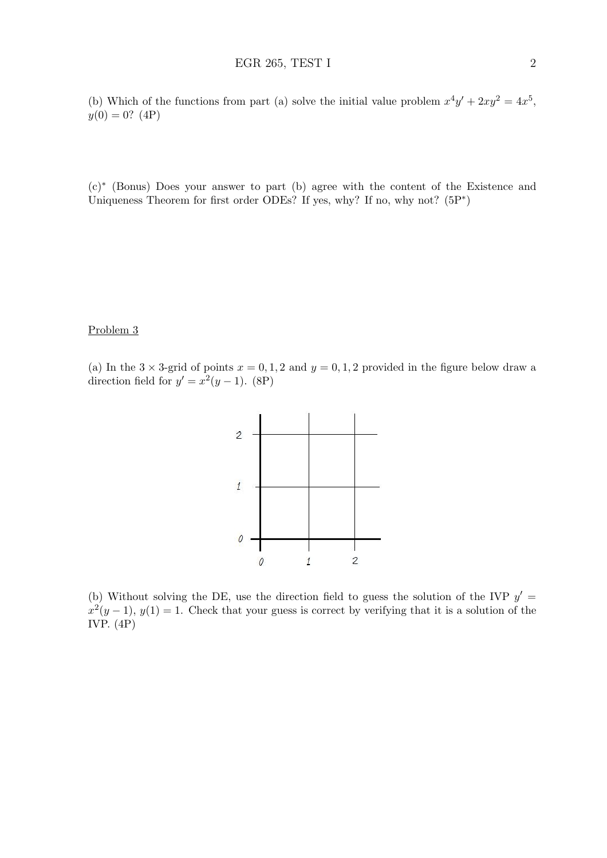(b) Which of the functions from part (a) solve the initial value problem  $x^4y' + 2xy^2 = 4x^5$ ,  $y(0) = 0$ ? (4P)

(c)<sup>∗</sup> (Bonus) Does your answer to part (b) agree with the content of the Existence and Uniqueness Theorem for first order ODEs? If yes, why? If no, why not?  $(5P^*)$ 

## Problem 3

(a) In the  $3 \times 3$ -grid of points  $x = 0, 1, 2$  and  $y = 0, 1, 2$  provided in the figure below draw a direction field for  $y' = x^2(y-1)$ . (8P)



(b) Without solving the DE, use the direction field to guess the solution of the IVP  $y' =$  $x^2(y-1)$ ,  $y(1) = 1$ . Check that your guess is correct by verifying that it is a solution of the IVP. (4P)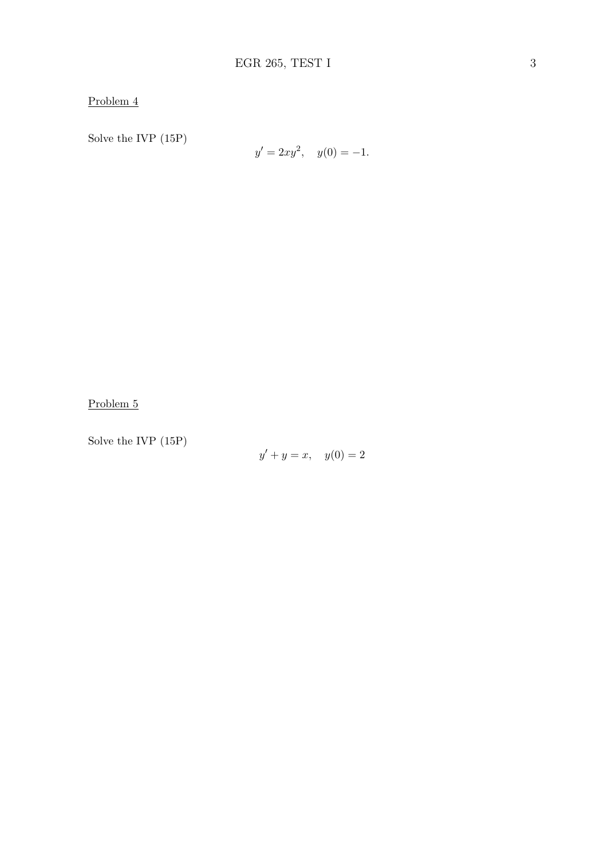Problem 4

Solve the IVP (15P)

$$
y' = 2xy^2, \quad y(0) = -1.
$$

Problem 5

Solve the IVP (15P)

 $y' + y = x$ ,  $y(0) = 2$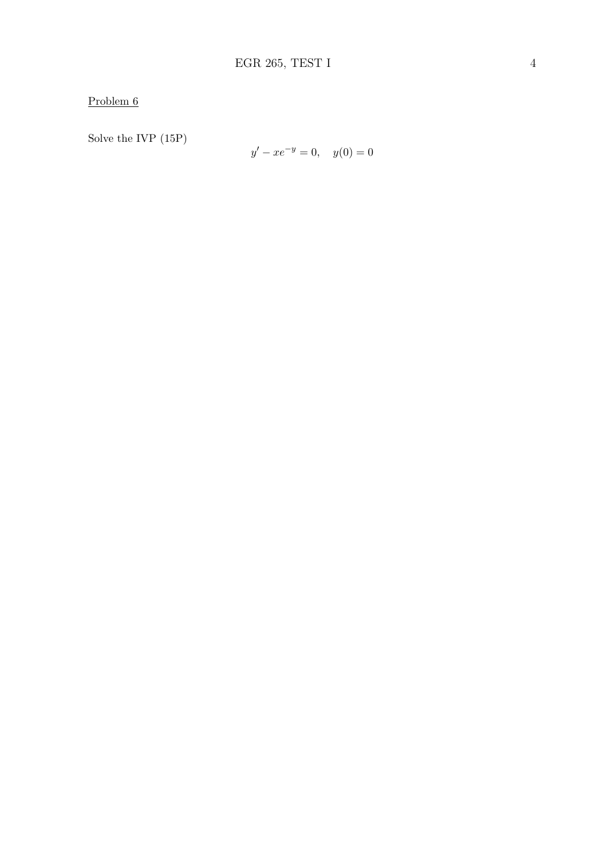# Problem  $6$

Solve the IVP  $(15P)$ 

$$
y' - xe^{-y} = 0, \quad y(0) = 0
$$